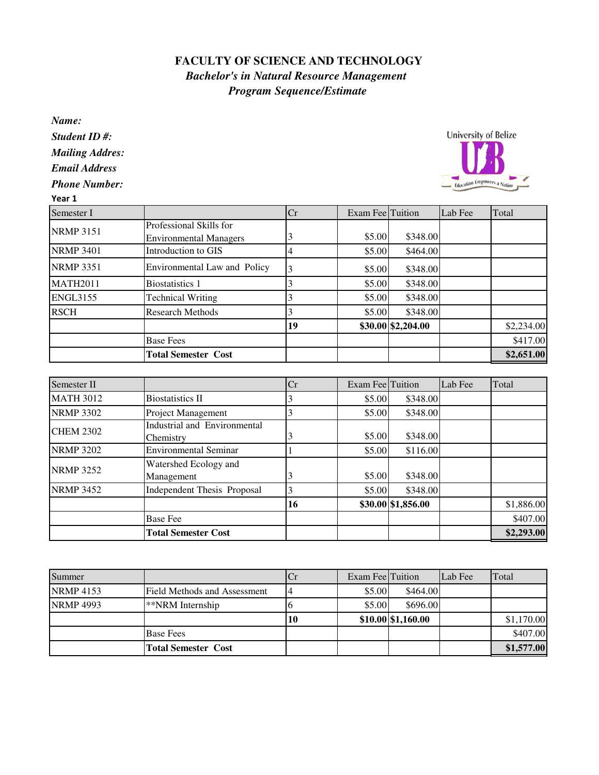## **FACULTY OF SCIENCE AND TECHNOLOGY** *Bachelor's in Natural Resource Management Program Sequence/Estimate*

*Name:*

*Student ID #: Mailing Addres: Email Address*

*Phone Number:*

## **University of Belize** Education Empowers a Nation

|                                                          | Cr |  | Lab Fee                                                                                                   | Total                                                                |
|----------------------------------------------------------|----|--|-----------------------------------------------------------------------------------------------------------|----------------------------------------------------------------------|
| Professional Skills for<br><b>Environmental Managers</b> |    |  |                                                                                                           |                                                                      |
| Introduction to GIS                                      | 4  |  |                                                                                                           |                                                                      |
| Environmental Law and Policy                             |    |  |                                                                                                           |                                                                      |
| <b>Biostatistics 1</b>                                   |    |  |                                                                                                           |                                                                      |
| <b>Technical Writing</b>                                 |    |  |                                                                                                           |                                                                      |
| <b>Research Methods</b>                                  |    |  |                                                                                                           |                                                                      |
|                                                          | 19 |  |                                                                                                           | \$2,234.00                                                           |
| <b>Base Fees</b>                                         |    |  |                                                                                                           | \$417.00                                                             |
| <b>Total Semester Cost</b>                               |    |  |                                                                                                           | \$2,651.00                                                           |
|                                                          |    |  | <b>Exam Fee Tuition</b><br>\$5.00<br>\$5.00<br>\$5.00<br>\$5.00<br>\$5.00<br>\$5.00<br>\$30.00 \$2,204.00 | \$348.00<br>\$464.00<br>\$348.00<br>\$348.00<br>\$348.00<br>\$348.00 |

| Semester II      |                                           | Cr | <b>Exam Fee Tuition</b> |                    | Lab Fee | Total      |
|------------------|-------------------------------------------|----|-------------------------|--------------------|---------|------------|
| <b>MATH 3012</b> | <b>Biostatistics II</b>                   |    | \$5.00                  | \$348.00           |         |            |
| <b>NRMP 3302</b> | Project Management                        |    | \$5.00                  | \$348.00           |         |            |
| <b>CHEM 2302</b> | Industrial and Environmental<br>Chemistry |    | \$5.00                  | \$348.00           |         |            |
| <b>NRMP 3202</b> | <b>Environmental Seminar</b>              |    | \$5.00                  | \$116.00           |         |            |
| <b>NRMP 3252</b> | Watershed Ecology and<br>Management       |    | \$5.00                  | \$348.00           |         |            |
| <b>NRMP 3452</b> | <b>Independent Thesis Proposal</b>        |    | \$5.00                  | \$348.00           |         |            |
|                  |                                           | 16 |                         | \$30.00 \$1,856.00 |         | \$1,886.00 |
|                  | <b>Base Fee</b>                           |    |                         |                    |         | \$407.00   |
|                  | <b>Total Semester Cost</b>                |    |                         |                    |         | \$2,293.00 |

| Summer           |                              | Ů  | Exam FeelTuition |                       | Lab Fee | Total      |
|------------------|------------------------------|----|------------------|-----------------------|---------|------------|
| <b>NRMP 4153</b> | Field Methods and Assessment |    | \$5.00           | \$464.00              |         |            |
| <b>NRMP 4993</b> | **NRM Internship             |    | \$5.00           | \$696.00              |         |            |
|                  |                              | 10 |                  | $$10.00 \, $1,160.00$ |         | \$1,170.00 |
|                  | <b>Base Fees</b>             |    |                  |                       |         | \$407.00   |
|                  | <b>Total Semester Cost</b>   |    |                  |                       |         | \$1,577.00 |